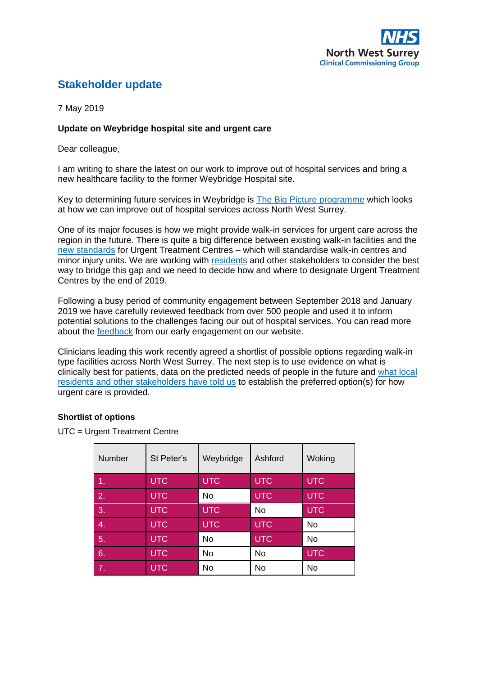# **Stakeholder update**

7 May 2019

## **Update on Weybridge hospital site and urgent care**

Dear colleague,

I am writing to share the latest on our work to improve out of hospital services and bring a new healthcare facility to the former Weybridge Hospital site.

Key to determining future services in Weybridge is [The Big Picture programme](http://www.nwsurreyccg.nhs.uk/get-involved/consultation-and-engagement/the-big-picture/using-your-feedback) which looks at how we can improve out of hospital services across North West Surrey.

One of its major focuses is how we might provide walk-in services for urgent care across the region in the future. There is quite a big difference between existing walk-in facilities and the [new standards](http://www.nwsurreyccg.nhs.uk/get-involved/consultation-and-engagement/the-big-picture/how-we-involve-people) for Urgent Treatment Centres – which will standardise walk-in centres and minor injury units. We are working with [residents](http://www.nwsurreyccg.nhs.uk/get-involved/consultation-and-engagement/the-big-picture/how-we-involve-people) and other stakeholders to consider the best way to bridge this gap and we need to decide how and where to designate Urgent Treatment Centres by the end of 2019.

Following a busy period of community engagement between September 2018 and January 2019 we have carefully reviewed feedback from over 500 people and used it to inform potential solutions to the challenges facing our out of hospital services. You can read more about the [feedback](http://www.nwsurreyccg.nhs.uk/get-involved/consultation-and-engagement/the-big-picture/using-your-feedback) from our early engagement on our website.

Clinicians leading this work recently agreed a shortlist of possible options regarding walk-in type facilities across North West Surrey. The next step is to use evidence on what is clinically best for patients, data on the predicted needs of people in the future and what local [residents and other stakeholders have told us](http://www.nwsurreyccg.nhs.uk/get-involved/consultation-and-engagement/the-big-picture/using-your-feedback) to establish the preferred option(s) for how urgent care is provided.

### **Shortlist of options**

UTC = Urgent Treatment Centre

| Number           | St Peter's | Weybridge  | Ashford    | Woking     |
|------------------|------------|------------|------------|------------|
| 1.               | <b>UTC</b> | <b>UTC</b> | <b>UTC</b> | <b>UTC</b> |
| 2.               | <b>UTC</b> | No         | <b>UTC</b> | <b>UTC</b> |
| $\overline{3}$ . | <b>UTC</b> | <b>UTC</b> | No         | <b>UTC</b> |
| 4.               | <b>UTC</b> | <b>UTC</b> | <b>UTC</b> | <b>No</b>  |
| 5.               | <b>UTC</b> | No         | <b>UTC</b> | <b>No</b>  |
| 6.               | <b>UTC</b> | <b>No</b>  | No         | <b>UTC</b> |
| 7.               | <b>UTC</b> | <b>No</b>  | No         | No         |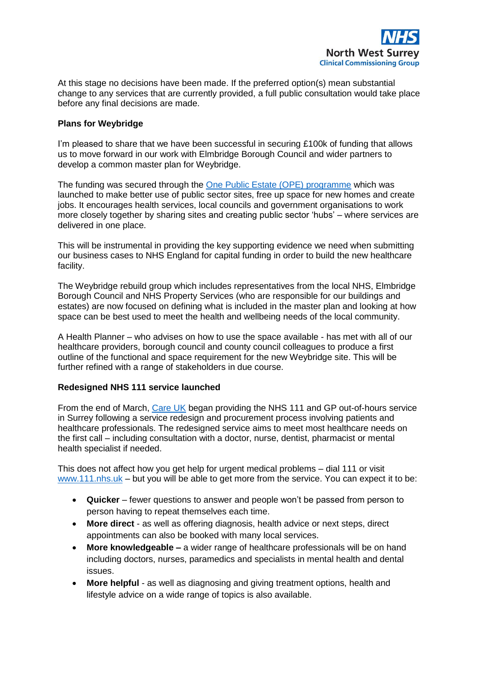

At this stage no decisions have been made. If the preferred option(s) mean substantial change to any services that are currently provided, a full public consultation would take place before any final decisions are made.

### **Plans for Weybridge**

I'm pleased to share that we have been successful in securing £100k of funding that allows us to move forward in our work with Elmbridge Borough Council and wider partners to develop a common master plan for Weybridge.

The funding was secured through the [One Public Estate \(OPE\) programme](http://nww.nwsurreyccg.nhs.uk/index.php?option=com_acymailing&ctrl=url&subid=134&urlid=143&mailid=57) which was launched to make better use of public sector sites, free up space for new homes and create jobs. It encourages health services, local councils and government organisations to work more closely together by sharing sites and creating public sector 'hubs' – where services are delivered in one place.

This will be instrumental in providing the key supporting evidence we need when submitting our business cases to NHS England for capital funding in order to build the new healthcare facility.

The Weybridge rebuild group which includes representatives from the local NHS, Elmbridge Borough Council and NHS Property Services (who are responsible for our buildings and estates) are now focused on defining what is included in the master plan and looking at how space can be best used to meet the health and wellbeing needs of the local community.

A Health Planner – who advises on how to use the space available - has met with all of our healthcare providers, borough council and county council colleagues to produce a first outline of the functional and space requirement for the new Weybridge site. This will be further refined with a range of stakeholders in due course.

### **Redesigned NHS 111 service launched**

From the end of March, [Care UK](http://www.careukhealthcare.com/integrated-urgent-care) began providing the NHS 111 and GP out-of-hours service in Surrey following a service redesign and procurement process involving patients and healthcare professionals. The redesigned service aims to meet most healthcare needs on the first call – including consultation with a doctor, nurse, dentist, pharmacist or mental health specialist if needed.

This does not affect how you get help for urgent medical problems – dial 111 or visit [www.111.nhs.uk](http://www.111.nhs.uk/) – but you will be able to get more from the service. You can expect it to be:

- **Quicker** fewer questions to answer and people won't be passed from person to person having to repeat themselves each time.
- **More direct** as well as offering diagnosis, health advice or next steps, direct appointments can also be booked with many local services.
- **More knowledgeable –** a wider range of healthcare professionals will be on hand including doctors, nurses, paramedics and specialists in mental health and dental issues.
- **More helpful** as well as diagnosing and giving treatment options, health and lifestyle advice on a wide range of topics is also available.